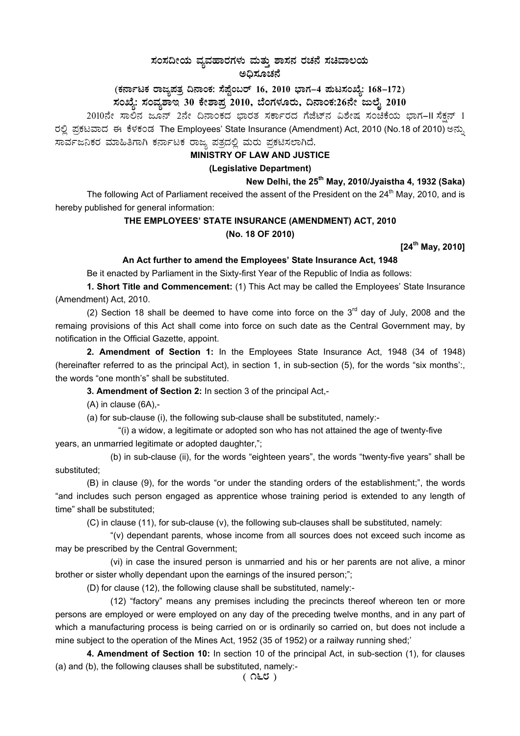# ಸಂಸದೀಯ ವ್ಯವಹಾರಗಳು ಮತ್ತು ಶಾಸನ ರಚನೆ ಸಚಿವಾಲಯ<br>ಅಧಿಸೂಚನೆ

(ಕರ್ನಾಟಕ ರಾಜ್ಯಪತ್ರ ದಿನಾಂಕ: ಸೆಪ್ಟೆಂಬರ್ 16, 2010 ಭಾಗ–4 ಮಟಸಂಖ್ಯೆ: 168–172)

## ಸಂಖ್ಯೆ: ಸಂವ್ಯಶಾಇ 30 ಕೇಶಾಪ್ರ 2010, ಬೆಂಗಳೂರು, ದಿನಾಂಕ:26ನೇ ಜುಲೈ 2010

2010ನೇ ಸಾಲಿನ ಜೂನ್ 2ನೇ ದಿನಾಂಕದ ಭಾರತ ಸರ್ಕಾರದ ಗೆಜೆಟ್ನ ವಿಶೇಷ ಸಂಚಿಕೆಯ ಭಾಗ–II ಸೆಕ್ಷನ್ 1 ರಲ್ಲಿ ಪ್ರಕಟವಾದ ಈ ಕೆಳಕಂಡ The Employees' State Insurance (Amendment) Act, 2010 (No.18 of 2010) ಅನ್ನು ಸಾರ್ವಜನಿಕರ ಮಾಹಿತಿಗಾಗಿ ಕರ್ನಾಟಕ ರಾಜ್ಯ ಪತ್ರದಲ್ಲಿ ಮರು ಪ್ರಕಟಿಸಲಾಗಿದೆ.

## MINISTRY OF LAW AND JUSTICE

## (Legislative Department)

## New Delhi, the 25<sup>th</sup> May, 2010/Jyaistha 4, 1932 (Saka)

The following Act of Parliament received the assent of the President on the 24<sup>th</sup> May, 2010, and is hereby published for general information:

## THE EMPLOYEES' STATE INSURANCE (AMENDMENT) ACT, 2010 (No. 18 OF 2010)

[24<sup>th</sup> May, 2010]

### An Act further to amend the Employees' State Insurance Act, 1948

Be it enacted by Parliament in the Sixty-first Year of the Republic of India as follows:

1. Short Title and Commencement: (1) This Act may be called the Employees' State Insurance (Amendment) Act, 2010.

(2) Section 18 shall be deemed to have come into force on the  $3<sup>rd</sup>$  day of July, 2008 and the remaing provisions of this Act shall come into force on such date as the Central Government may, by notification in the Official Gazette, appoint.

2. Amendment of Section 1: In the Employees State Insurance Act, 1948 (34 of 1948) (hereinafter referred to as the principal Act), in section 1, in sub-section (5), for the words "six months"; the words "one month's" shall be substituted.

3. Amendment of Section 2: In section 3 of the principal Act,-

 $(A)$  in clause  $(6A)$ .-

(a) for sub-clause (i), the following sub-clause shall be substituted, namely:-

"(i) a widow, a legitimate or adopted son who has not attained the age of twenty-five years, an unmarried legitimate or adopted daughter,";

(b) in sub-clause (ii), for the words "eighteen years", the words "twenty-five years" shall be substituted;

(B) in clause (9), for the words "or under the standing orders of the establishment;", the words "and includes such person engaged as apprentice whose training period is extended to any length of time" shall be substituted;

(C) in clause (11), for sub-clause (v), the following sub-clauses shall be substituted, namely:

"(v) dependant parents, whose income from all sources does not exceed such income as may be prescribed by the Central Government;

(vi) in case the insured person is unmarried and his or her parents are not alive, a minor brother or sister wholly dependant upon the earnings of the insured person;";

(D) for clause (12), the following clause shall be substituted, namely:-

(12) "factory" means any premises including the precincts thereof whereon ten or more persons are employed or were employed on any day of the preceding twelve months, and in any part of which a manufacturing process is being carried on or is ordinarily so carried on, but does not include a mine subject to the operation of the Mines Act, 1952 (35 of 1952) or a railway running shed;'

4. Amendment of Section 10: In section 10 of the principal Act, in sub-section (1), for clauses (a) and (b), the following clauses shall be substituted, namely:-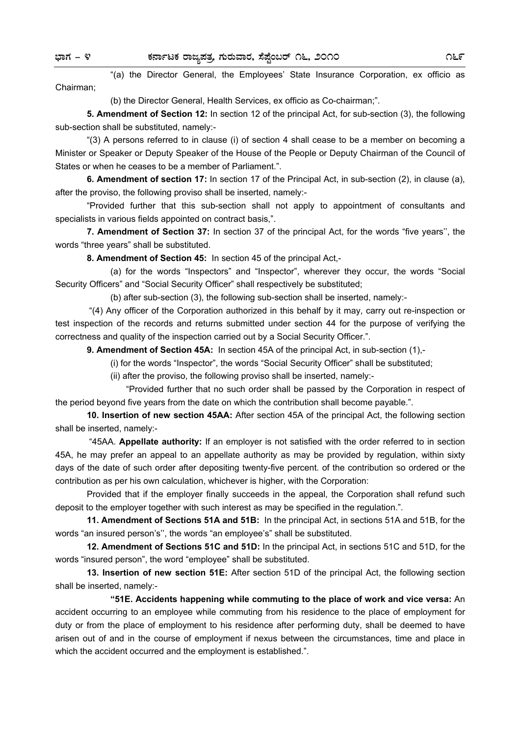"(a) the Director General, the Employees' State Insurance Corporation, ex officio as Chairman;

(b) the Director General, Health Services, ex officio as Co-chairman;".

**5. Amendment of Section 12:** In section 12 of the principal Act, for sub-section (3), the following sub-section shall be substituted, namely:-

 "(3) A persons referred to in clause (i) of section 4 shall cease to be a member on becoming a Minister or Speaker or Deputy Speaker of the House of the People or Deputy Chairman of the Council of States or when he ceases to be a member of Parliament.".

**6. Amendment of section 17:** In section 17 of the Principal Act, in sub-section (2), in clause (a), after the proviso, the following proviso shall be inserted, namely:-

 "Provided further that this sub-section shall not apply to appointment of consultants and specialists in various fields appointed on contract basis,".

**7. Amendment of Section 37:** In section 37 of the principal Act, for the words "five years'', the words "three years" shall be substituted.

**8. Amendment of Section 45:** In section 45 of the principal Act,-

 (a) for the words "Inspectors" and "Inspector", wherever they occur, the words "Social Security Officers" and "Social Security Officer" shall respectively be substituted;

(b) after sub-section (3), the following sub-section shall be inserted, namely:-

 "(4) Any officer of the Corporation authorized in this behalf by it may, carry out re-inspection or test inspection of the records and returns submitted under section 44 for the purpose of verifying the correctness and quality of the inspection carried out by a Social Security Officer.".

**9. Amendment of Section 45A:** In section 45A of the principal Act, in sub-section (1),-

(i) for the words "Inspector", the words "Social Security Officer" shall be substituted;

(ii) after the proviso, the following proviso shall be inserted, namely:-

 "Provided further that no such order shall be passed by the Corporation in respect of the period beyond five years from the date on which the contribution shall become payable.".

**10. Insertion of new section 45AA:** After section 45A of the principal Act, the following section shall be inserted, namely:-

 "45AA. **Appellate authority:** If an employer is not satisfied with the order referred to in section 45A, he may prefer an appeal to an appellate authority as may be provided by regulation, within sixty days of the date of such order after depositing twenty-five percent. of the contribution so ordered or the contribution as per his own calculation, whichever is higher, with the Corporation:

 Provided that if the employer finally succeeds in the appeal, the Corporation shall refund such deposit to the employer together with such interest as may be specified in the regulation.".

**11. Amendment of Sections 51A and 51B:** In the principal Act, in sections 51A and 51B, for the words "an insured person's'', the words "an employee's" shall be substituted.

**12. Amendment of Sections 51C and 51D:** In the principal Act, in sections 51C and 51D, for the words "insured person", the word "employee" shall be substituted.

**13. Insertion of new section 51E:** After section 51D of the principal Act, the following section shall be inserted, namely:-

 **"51E. Accidents happening while commuting to the place of work and vice versa:** An accident occurring to an employee while commuting from his residence to the place of employment for duty or from the place of employment to his residence after performing duty, shall be deemed to have arisen out of and in the course of employment if nexus between the circumstances, time and place in which the accident occurred and the employment is established.".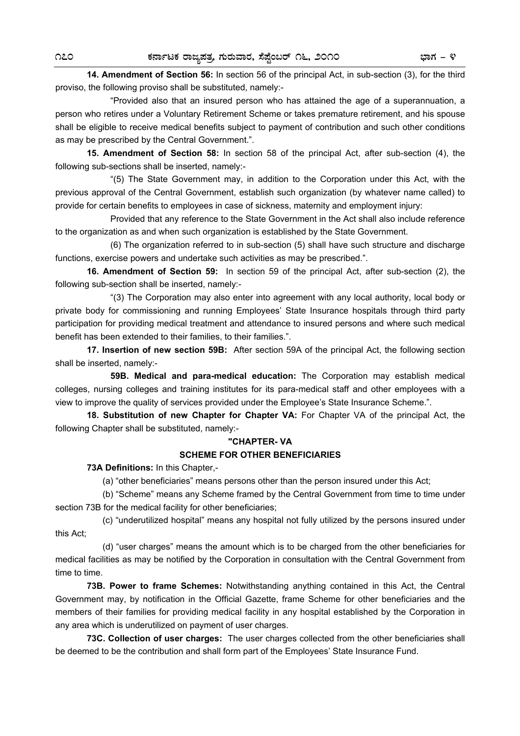**14. Amendment of Section 56:** In section 56 of the principal Act, in sub-section (3), for the third proviso, the following proviso shall be substituted, namely:-

 "Provided also that an insured person who has attained the age of a superannuation, a person who retires under a Voluntary Retirement Scheme or takes premature retirement, and his spouse shall be eligible to receive medical benefits subject to payment of contribution and such other conditions as may be prescribed by the Central Government.".

**15. Amendment of Section 58:** In section 58 of the principal Act, after sub-section (4), the following sub-sections shall be inserted, namely:-

 "(5) The State Government may, in addition to the Corporation under this Act, with the previous approval of the Central Government, establish such organization (by whatever name called) to provide for certain benefits to employees in case of sickness, maternity and employment injury:

 Provided that any reference to the State Government in the Act shall also include reference to the organization as and when such organization is established by the State Government.

 (6) The organization referred to in sub-section (5) shall have such structure and discharge functions, exercise powers and undertake such activities as may be prescribed.".

**16. Amendment of Section 59:** In section 59 of the principal Act, after sub-section (2), the following sub-section shall be inserted, namely:-

 "(3) The Corporation may also enter into agreement with any local authority, local body or private body for commissioning and running Employees' State Insurance hospitals through third party participation for providing medical treatment and attendance to insured persons and where such medical benefit has been extended to their families, to their families.".

**17. Insertion of new section 59B:** After section 59A of the principal Act, the following section shall be inserted, namely:-

 **59B. Medical and para-medical education:** The Corporation may establish medical colleges, nursing colleges and training institutes for its para-medical staff and other employees with a view to improve the quality of services provided under the Employee's State Insurance Scheme.".

 **18. Substitution of new Chapter for Chapter VA:** For Chapter VA of the principal Act, the following Chapter shall be substituted, namely:-

### **"CHAPTER- VA SCHEME FOR OTHER BENEFICIARIES**

**73A Definitions:** In this Chapter,-

(a) "other beneficiaries" means persons other than the person insured under this Act;

 (b) "Scheme" means any Scheme framed by the Central Government from time to time under section 73B for the medical facility for other beneficiaries;

 (c) "underutilized hospital" means any hospital not fully utilized by the persons insured under this Act;

 (d) "user charges" means the amount which is to be charged from the other beneficiaries for medical facilities as may be notified by the Corporation in consultation with the Central Government from time to time.

**73B. Power to frame Schemes:** Notwithstanding anything contained in this Act, the Central Government may, by notification in the Official Gazette, frame Scheme for other beneficiaries and the members of their families for providing medical facility in any hospital established by the Corporation in any area which is underutilized on payment of user charges.

**73C. Collection of user charges:** The user charges collected from the other beneficiaries shall be deemed to be the contribution and shall form part of the Employees' State Insurance Fund.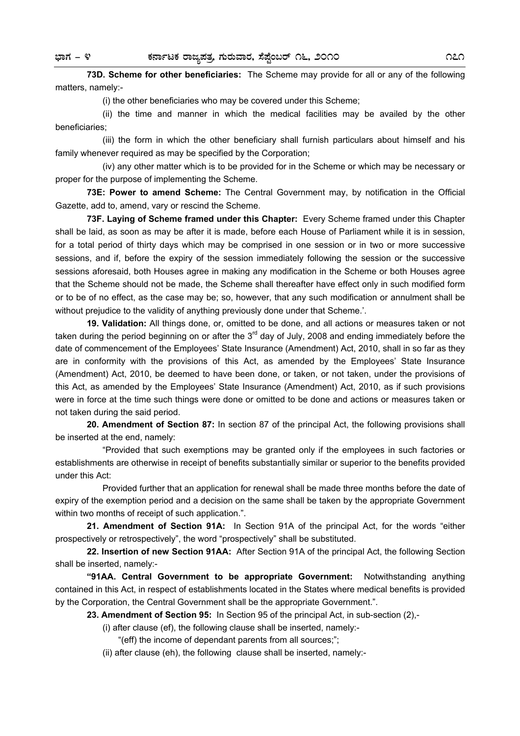**73D. Scheme for other beneficiaries:** The Scheme may provide for all or any of the following matters, namely:-

(i) the other beneficiaries who may be covered under this Scheme;

 (ii) the time and manner in which the medical facilities may be availed by the other beneficiaries;

 (iii) the form in which the other beneficiary shall furnish particulars about himself and his family whenever required as may be specified by the Corporation;

 (iv) any other matter which is to be provided for in the Scheme or which may be necessary or proper for the purpose of implementing the Scheme.

**73E: Power to amend Scheme:** The Central Government may, by notification in the Official Gazette, add to, amend, vary or rescind the Scheme.

**73F. Laying of Scheme framed under this Chapter:** Every Scheme framed under this Chapter shall be laid, as soon as may be after it is made, before each House of Parliament while it is in session, for a total period of thirty days which may be comprised in one session or in two or more successive sessions, and if, before the expiry of the session immediately following the session or the successive sessions aforesaid, both Houses agree in making any modification in the Scheme or both Houses agree that the Scheme should not be made, the Scheme shall thereafter have effect only in such modified form or to be of no effect, as the case may be; so, however, that any such modification or annulment shall be without prejudice to the validity of anything previously done under that Scheme.'.

**19. Validation:** All things done, or, omitted to be done, and all actions or measures taken or not taken during the period beginning on or after the  $3<sup>rd</sup>$  day of July, 2008 and ending immediately before the date of commencement of the Employees' State Insurance (Amendment) Act, 2010, shall in so far as they are in conformity with the provisions of this Act, as amended by the Employees' State Insurance (Amendment) Act, 2010, be deemed to have been done, or taken, or not taken, under the provisions of this Act, as amended by the Employees' State Insurance (Amendment) Act, 2010, as if such provisions were in force at the time such things were done or omitted to be done and actions or measures taken or not taken during the said period.

**20. Amendment of Section 87:** In section 87 of the principal Act, the following provisions shall be inserted at the end, namely:

 "Provided that such exemptions may be granted only if the employees in such factories or establishments are otherwise in receipt of benefits substantially similar or superior to the benefits provided under this Act:

 Provided further that an application for renewal shall be made three months before the date of expiry of the exemption period and a decision on the same shall be taken by the appropriate Government within two months of receipt of such application.".

**21. Amendment of Section 91A:** In Section 91A of the principal Act, for the words "either prospectively or retrospectively", the word "prospectively" shall be substituted.

**22. Insertion of new Section 91AA:** After Section 91A of the principal Act, the following Section shall be inserted, namely:-

**"91AA. Central Government to be appropriate Government:** Notwithstanding anything contained in this Act, in respect of establishments located in the States where medical benefits is provided by the Corporation, the Central Government shall be the appropriate Government.".

**23. Amendment of Section 95:** In Section 95 of the principal Act, in sub-section (2),-

(i) after clause (ef), the following clause shall be inserted, namely:-

"(eff) the income of dependant parents from all sources;";

(ii) after clause (eh), the following clause shall be inserted, namely:-